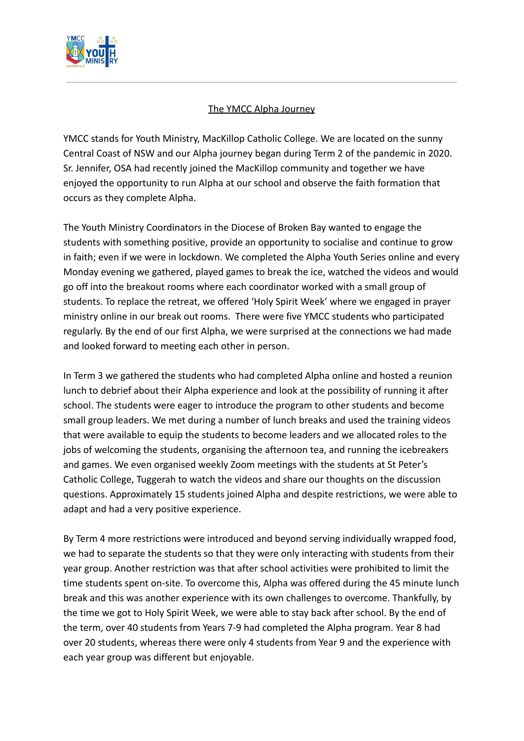

## The YMCC Alpha Journey

YMCC stands for Youth Ministry, MacKillop Catholic College. We are located on the sunny Central Coast of NSW and our Alpha journey began during Term 2 of the pandemic in 2020. Sr. Jennifer, OSA had recently joined the MacKillop community and together we have enjoyed the opportunity to run Alpha at our school and observe the faith formation that occurs as they complete Alpha.

The Youth Ministry Coordinators in the Diocese of Broken Bay wanted to engage the students with something positive, provide an opportunity to socialise and continue to grow in faith; even if we were in lockdown. We completed the Alpha Youth Series online and every Monday evening we gathered, played games to break the ice, watched the videos and would go off into the breakout rooms where each coordinator worked with a small group of students. To replace the retreat, we offered 'Holy Spirit Week' where we engaged in prayer ministry online in our break out rooms. There were five YMCC students who participated regularly. By the end of our first Alpha, we were surprised at the connections we had made and looked forward to meeting each other in person.

In Term 3 we gathered the students who had completed Alpha online and hosted a reunion lunch to debrief about their Alpha experience and look at the possibility of running it after school. The students were eager to introduce the program to other students and become small group leaders. We met during a number of lunch breaks and used the training videos that were available to equip the students to become leaders and we allocated roles to the jobs of welcoming the students, organising the afternoon tea, and running the icebreakers and games. We even organised weekly Zoom meetings with the students at St Peter's Catholic College, Tuggerah to watch the videos and share our thoughts on the discussion questions. Approximately 15 students joined Alpha and despite restrictions, we were able to adapt and had a very positive experience.

By Term 4 more restrictions were introduced and beyond serving individually wrapped food, we had to separate the students so that they were only interacting with students from their year group. Another restriction was that after school activities were prohibited to limit the time students spent on-site. To overcome this, Alpha was offered during the 45 minute lunch break and this was another experience with its own challenges to overcome. Thankfully, by the time we got to Holy Spirit Week, we were able to stay back after school. By the end of the term, over 40 students from Years 7-9 had completed the Alpha program. Year 8 had over 20 students, whereas there were only 4 students from Year 9 and the experience with each year group was different but enjoyable.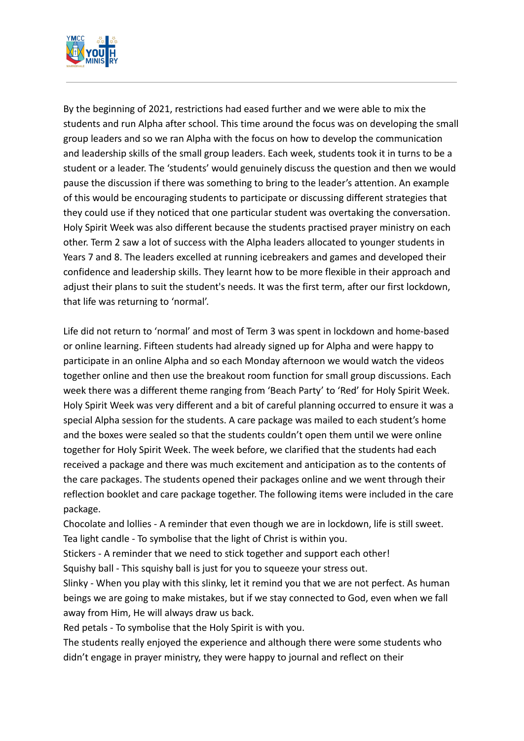

By the beginning of 2021, restrictions had eased further and we were able to mix the students and run Alpha after school. This time around the focus was on developing the small group leaders and so we ran Alpha with the focus on how to develop the communication and leadership skills of the small group leaders. Each week, students took it in turns to be a student or a leader. The 'students' would genuinely discuss the question and then we would pause the discussion if there was something to bring to the leader's attention. An example of this would be encouraging students to participate or discussing different strategies that they could use if they noticed that one particular student was overtaking the conversation. Holy Spirit Week was also different because the students practised prayer ministry on each other. Term 2 saw a lot of success with the Alpha leaders allocated to younger students in Years 7 and 8. The leaders excelled at running icebreakers and games and developed their confidence and leadership skills. They learnt how to be more flexible in their approach and adjust their plans to suit the student's needs. It was the first term, after our first lockdown, that life was returning to 'normal'.

Life did not return to 'normal' and most of Term 3 was spent in lockdown and home-based or online learning. Fifteen students had already signed up for Alpha and were happy to participate in an online Alpha and so each Monday afternoon we would watch the videos together online and then use the breakout room function for small group discussions. Each week there was a different theme ranging from 'Beach Party' to 'Red' for Holy Spirit Week. Holy Spirit Week was very different and a bit of careful planning occurred to ensure it was a special Alpha session for the students. A care package was mailed to each student's home and the boxes were sealed so that the students couldn't open them until we were online together for Holy Spirit Week. The week before, we clarified that the students had each received a package and there was much excitement and anticipation as to the contents of the care packages. The students opened their packages online and we went through their reflection booklet and care package together. The following items were included in the care package.

Chocolate and lollies - A reminder that even though we are in lockdown, life is still sweet. Tea light candle - To symbolise that the light of Christ is within you.

Stickers - A reminder that we need to stick together and support each other!

Squishy ball - This squishy ball is just for you to squeeze your stress out.

Slinky - When you play with this slinky, let it remind you that we are not perfect. As human beings we are going to make mistakes, but if we stay connected to God, even when we fall away from Him, He will always draw us back.

Red petals - To symbolise that the Holy Spirit is with you.

The students really enjoyed the experience and although there were some students who didn't engage in prayer ministry, they were happy to journal and reflect on their